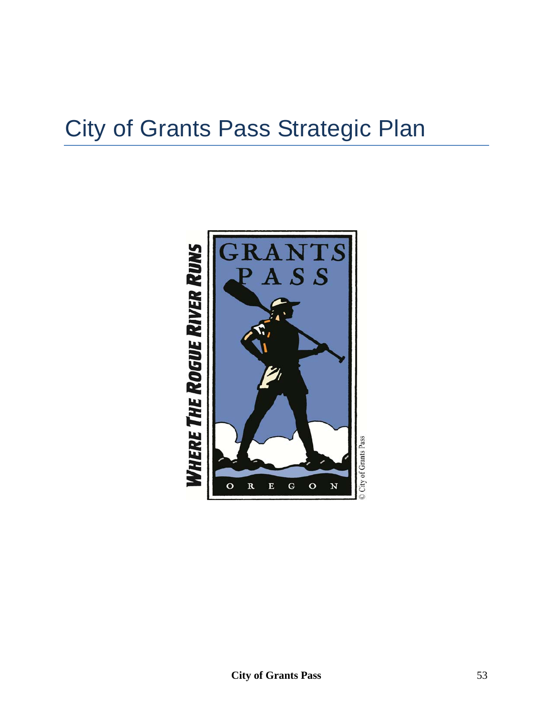# City of Grants Pass Strategic Plan

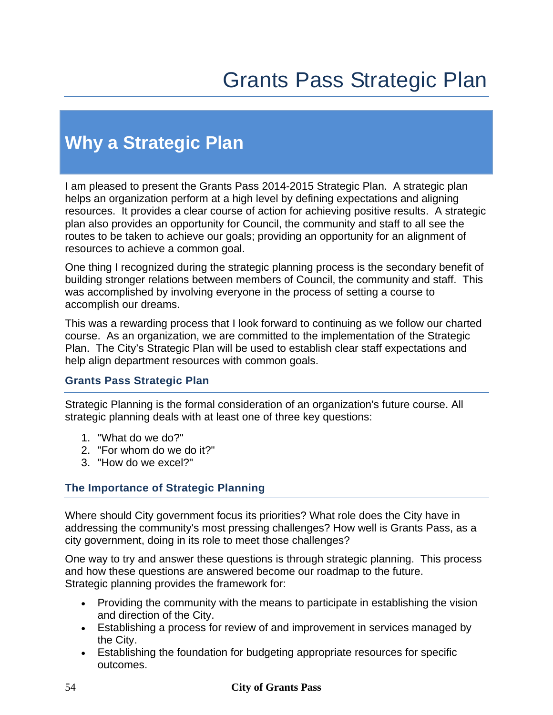## Grants Pass Strategic Plan

## **Why a Strategic Plan**

I am pleased to present the Grants Pass 2014-2015 Strategic Plan. A strategic plan helps an organization perform at a high level by defining expectations and aligning resources. It provides a clear course of action for achieving positive results. A strategic plan also provides an opportunity for Council, the community and staff to all see the routes to be taken to achieve our goals; providing an opportunity for an alignment of resources to achieve a common goal.

One thing I recognized during the strategic planning process is the secondary benefit of building stronger relations between members of Council, the community and staff. This was accomplished by involving everyone in the process of setting a course to accomplish our dreams.

This was a rewarding process that I look forward to continuing as we follow our charted course. As an organization, we are committed to the implementation of the Strategic Plan. The City's Strategic Plan will be used to establish clear staff expectations and help align department resources with common goals.

#### **Grants Pass Strategic Plan**

Strategic Planning is the formal consideration of an organization's future course. All strategic planning deals with at least one of three key questions:

- 1. "What do we do?"
- 2. "For whom do we do it?"
- 3. "How do we excel?"

#### **The Importance of Strategic Planning**

Where should City government focus its priorities? What role does the City have in addressing the community's most pressing challenges? How well is Grants Pass, as a city government, doing in its role to meet those challenges?

One way to try and answer these questions is through strategic planning. This process and how these questions are answered become our roadmap to the future. Strategic planning provides the framework for:

- Providing the community with the means to participate in establishing the vision and direction of the City.
- Establishing a process for review of and improvement in services managed by the City.
- Establishing the foundation for budgeting appropriate resources for specific outcomes.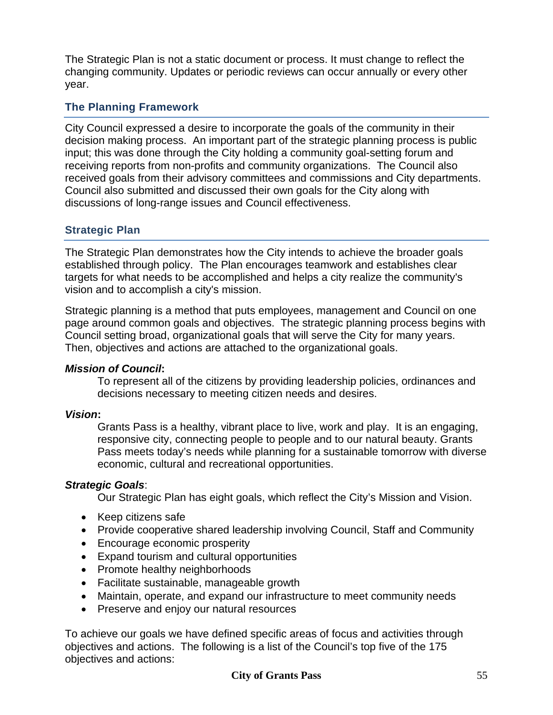The Strategic Plan is not a static document or process. It must change to reflect the changing community. Updates or periodic reviews can occur annually or every other year.

#### **The Planning Framework**

City Council expressed a desire to incorporate the goals of the community in their decision making process. An important part of the strategic planning process is public input; this was done through the City holding a community goal-setting forum and receiving reports from non-profits and community organizations. The Council also received goals from their advisory committees and commissions and City departments. Council also submitted and discussed their own goals for the City along with discussions of long-range issues and Council effectiveness.

#### **Strategic Plan**

The Strategic Plan demonstrates how the City intends to achieve the broader goals established through policy. The Plan encourages teamwork and establishes clear targets for what needs to be accomplished and helps a city realize the community's vision and to accomplish a city's mission.

Strategic planning is a method that puts employees, management and Council on one page around common goals and objectives. The strategic planning process begins with Council setting broad, organizational goals that will serve the City for many years. Then, objectives and actions are attached to the organizational goals.

#### *Mission of Council***:**

To represent all of the citizens by providing leadership policies, ordinances and decisions necessary to meeting citizen needs and desires.

#### *Vision***:**

Grants Pass is a healthy, vibrant place to live, work and play. It is an engaging, responsive city, connecting people to people and to our natural beauty. Grants Pass meets today's needs while planning for a sustainable tomorrow with diverse economic, cultural and recreational opportunities.

#### *Strategic Goals*:

Our Strategic Plan has eight goals, which reflect the City's Mission and Vision.

- Keep citizens safe
- Provide cooperative shared leadership involving Council, Staff and Community
- Encourage economic prosperity
- Expand tourism and cultural opportunities
- Promote healthy neighborhoods
- Facilitate sustainable, manageable growth
- Maintain, operate, and expand our infrastructure to meet community needs
- Preserve and enjoy our natural resources

To achieve our goals we have defined specific areas of focus and activities through objectives and actions. The following is a list of the Council's top five of the 175 objectives and actions:

**City of Grants Pass** 55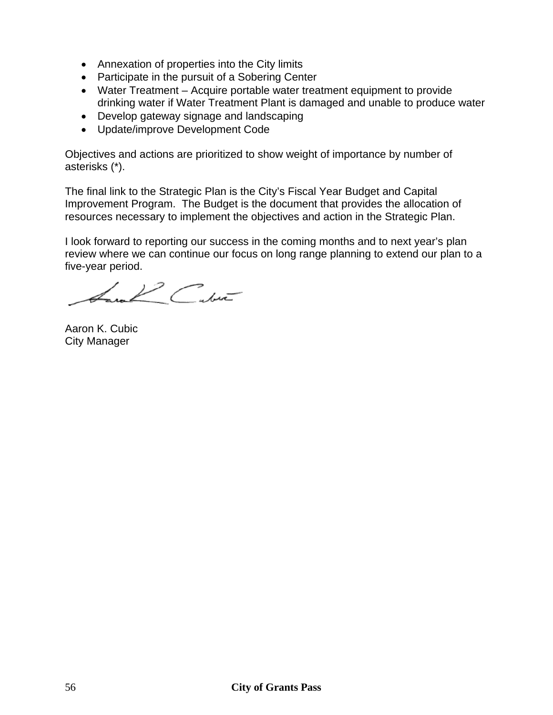- Annexation of properties into the City limits
- Participate in the pursuit of a Sobering Center
- Water Treatment Acquire portable water treatment equipment to provide drinking water if Water Treatment Plant is damaged and unable to produce water
- Develop gateway signage and landscaping
- Update/improve Development Code

Objectives and actions are prioritized to show weight of importance by number of asterisks (\*).

The final link to the Strategic Plan is the City's Fiscal Year Budget and Capital Improvement Program. The Budget is the document that provides the allocation of resources necessary to implement the objectives and action in the Strategic Plan.

I look forward to reporting our success in the coming months and to next year's plan review where we can continue our focus on long range planning to extend our plan to a five-year period.

anal Cabia

Aaron K. Cubic City Manager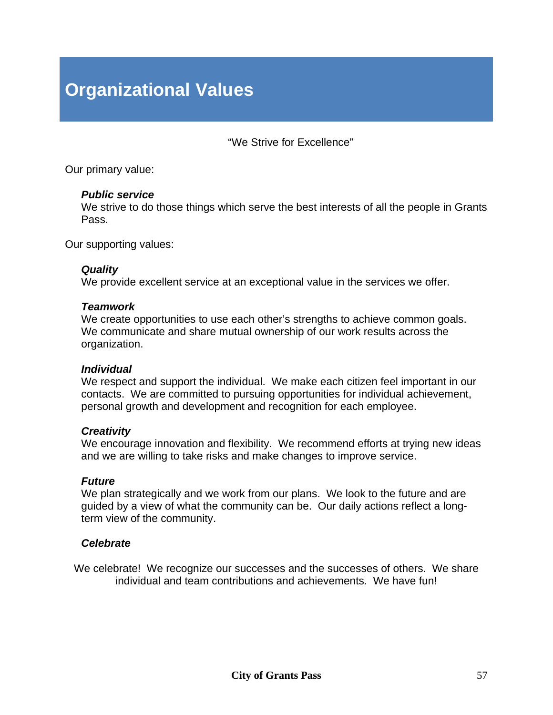## **Organizational Values**

"We Strive for Excellence"

Our primary value:

#### *Public service*

We strive to do those things which serve the best interests of all the people in Grants Pass.

Our supporting values:

#### *Quality*

We provide excellent service at an exceptional value in the services we offer.

#### *Teamwork*

We create opportunities to use each other's strengths to achieve common goals. We communicate and share mutual ownership of our work results across the organization.

#### *Individual*

We respect and support the individual. We make each citizen feel important in our contacts. We are committed to pursuing opportunities for individual achievement, personal growth and development and recognition for each employee.

#### *Creativity*

We encourage innovation and flexibility. We recommend efforts at trying new ideas and we are willing to take risks and make changes to improve service.

#### *Future*

We plan strategically and we work from our plans. We look to the future and are guided by a view of what the community can be. Our daily actions reflect a longterm view of the community.

#### *Celebrate*

We celebrate! We recognize our successes and the successes of others. We share individual and team contributions and achievements. We have fun!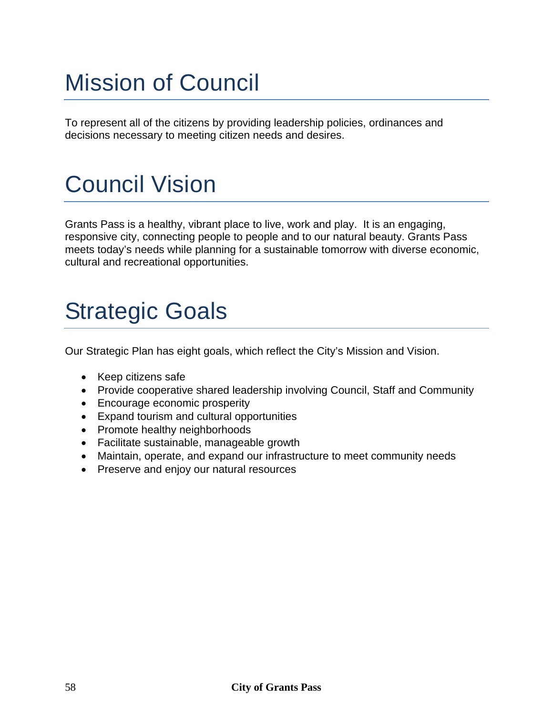# Mission of Council

To represent all of the citizens by providing leadership policies, ordinances and decisions necessary to meeting citizen needs and desires.

## Council Vision

Grants Pass is a healthy, vibrant place to live, work and play. It is an engaging, responsive city, connecting people to people and to our natural beauty. Grants Pass meets today's needs while planning for a sustainable tomorrow with diverse economic, cultural and recreational opportunities.

## Strategic Goals

Our Strategic Plan has eight goals, which reflect the City's Mission and Vision.

- Keep citizens safe
- Provide cooperative shared leadership involving Council, Staff and Community
- Encourage economic prosperity
- Expand tourism and cultural opportunities
- Promote healthy neighborhoods
- Facilitate sustainable, manageable growth
- Maintain, operate, and expand our infrastructure to meet community needs
- Preserve and enjoy our natural resources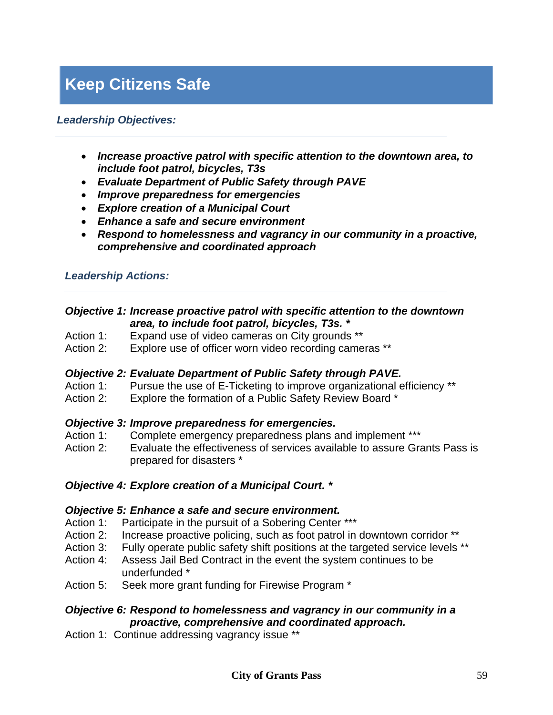## **Keep Citizens Safe**

#### *Leadership Objectives:*

- *Increase proactive patrol with specific attention to the downtown area, to include foot patrol, bicycles, T3s*
- *Evaluate Department of Public Safety through PAVE*
- *Improve preparedness for emergencies*
- *Explore creation of a Municipal Court*
- *Enhance a safe and secure environment*
- *Respond to homelessness and vagrancy in our community in a proactive, comprehensive and coordinated approach*

#### *Leadership Actions:*

*Objective 1: Increase proactive patrol with specific attention to the downtown area, to include foot patrol, bicycles, T3s. \** 

- Action 1: Expand use of video cameras on City grounds \*\*
- Action 2: Explore use of officer worn video recording cameras \*\*

#### *Objective 2: Evaluate Department of Public Safety through PAVE.*

- Action 1: Pursue the use of E-Ticketing to improve organizational efficiency \*\*
- Action 2: Explore the formation of a Public Safety Review Board \*

#### *Objective 3: Improve preparedness for emergencies.*

- Action 1: Complete emergency preparedness plans and implement \*\*\*
- Action 2: Evaluate the effectiveness of services available to assure Grants Pass is prepared for disasters \*

#### *Objective 4: Explore creation of a Municipal Court. \**

#### *Objective 5: Enhance a safe and secure environment.*

- Action 1: Participate in the pursuit of a Sobering Center \*\*\*
- 
- Action 2: Increase proactive policing, such as foot patrol in downtown corridor \*\*<br>Action 3: Fully operate public safety shift positions at the targeted service levels Fully operate public safety shift positions at the targeted service levels \*\*
- Action 4: Assess Jail Bed Contract in the event the system continues to be underfunded \*
- Action 5: Seek more grant funding for Firewise Program \*

#### *Objective 6: Respond to homelessness and vagrancy in our community in a proactive, comprehensive and coordinated approach.*

Action 1: Continue addressing vagrancy issue \*\*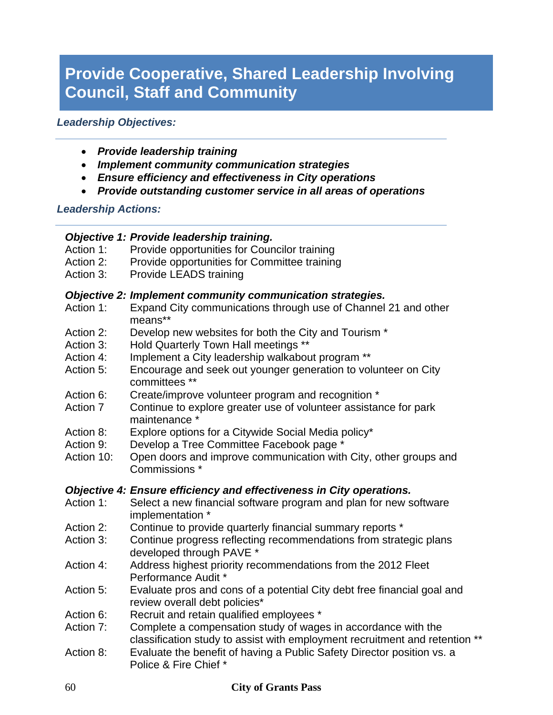## **Provide Cooperative, Shared Leadership Involving Council, Staff and Community**

#### *Leadership Objectives:*

- *Provide leadership training*
- *Implement community communication strategies*
- *Ensure efficiency and effectiveness in City operations*
- *Provide outstanding customer service in all areas of operations*

#### *Leadership Actions:*

#### *Objective 1: Provide leadership training.*

- Action 1: Provide opportunities for Councilor training
- Action 2: Provide opportunities for Committee training
- Action 3: Provide LEADS training

#### *Objective 2: Implement community communication strategies.*

- Action 1: Expand City communications through use of Channel 21 and other means\*\*
- Action 2: Develop new websites for both the City and Tourism \*
- Action 3: Hold Quarterly Town Hall meetings \*\*
- Action 4: Implement a City leadership walkabout program \*\*
- Action 5: Encourage and seek out younger generation to volunteer on City committees \*\*
- Action 6: Create/improve volunteer program and recognition \*
- Action 7 Continue to explore greater use of volunteer assistance for park maintenance \*
- Action 8: Explore options for a Citywide Social Media policy\*
- Action 9: Develop a Tree Committee Facebook page \*
- Action 10: Open doors and improve communication with City, other groups and Commissions \*

#### *Objective 4: Ensure efficiency and effectiveness in City operations.*

- Action 1: Select a new financial software program and plan for new software implementation \*
- Action 2: Continue to provide quarterly financial summary reports \*
- Action 3: Continue progress reflecting recommendations from strategic plans developed through PAVE \*
- Action 4: Address highest priority recommendations from the 2012 Fleet Performance Audit \*
- Action 5: Evaluate pros and cons of a potential City debt free financial goal and review overall debt policies\*
- Action 6: Recruit and retain qualified employees \*
- Action 7: Complete a compensation study of wages in accordance with the classification study to assist with employment recruitment and retention \*\*
- Action 8: Evaluate the benefit of having a Public Safety Director position vs. a Police & Fire Chief \*

#### 60 **City of Grants Pass**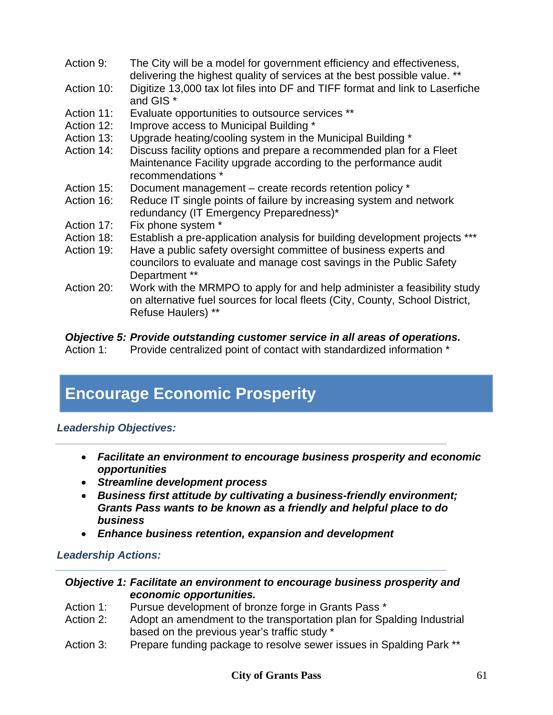- Action 9: The City will be a model for government efficiency and effectiveness, delivering the highest quality of services at the best possible value. \*\*
- Action 10: Digitize 13,000 tax lot files into DF and TIFF format and link to Laserfiche and GIS \*
- Action 11: Evaluate opportunities to outsource services \*\*
- Action 12: Improve access to Municipal Building \*
- Action 13: Upgrade heating/cooling system in the Municipal Building \*
- Action 14: Discuss facility options and prepare a recommended plan for a Fleet Maintenance Facility upgrade according to the performance audit recommendations \*
- Action 15: Document management create records retention policy \*
- Action 16: Reduce IT single points of failure by increasing system and network redundancy (IT Emergency Preparedness)\*
- Action 17: Fix phone system \*
- Action 18: Establish a pre-application analysis for building development projects \*\*\*
- Action 19: Have a public safety oversight committee of business experts and councilors to evaluate and manage cost savings in the Public Safety Department \*\*
- Action 20: Work with the MRMPO to apply for and help administer a feasibility study on alternative fuel sources for local fleets (City, County, School District, Refuse Haulers) \*\*

#### *Objective 5: Provide outstanding customer service in all areas of operations.*

Action 1: Provide centralized point of contact with standardized information \*

### **Encourage Economic Prosperity**

#### *Leadership Objectives:*

- *Facilitate an environment to encourage business prosperity and economic opportunities*
- *Streamline development process*
- *Business first attitude by cultivating a business-friendly environment; Grants Pass wants to be known as a friendly and helpful place to do business*
- *Enhance business retention, expansion and development*

#### *Leadership Actions:*

#### *Objective 1: Facilitate an environment to encourage business prosperity and economic opportunities.*

- Action 1: Pursue development of bronze forge in Grants Pass \*
- Action 2: Adopt an amendment to the transportation plan for Spalding Industrial based on the previous year's traffic study \*
- Action 3: Prepare funding package to resolve sewer issues in Spalding Park \*\*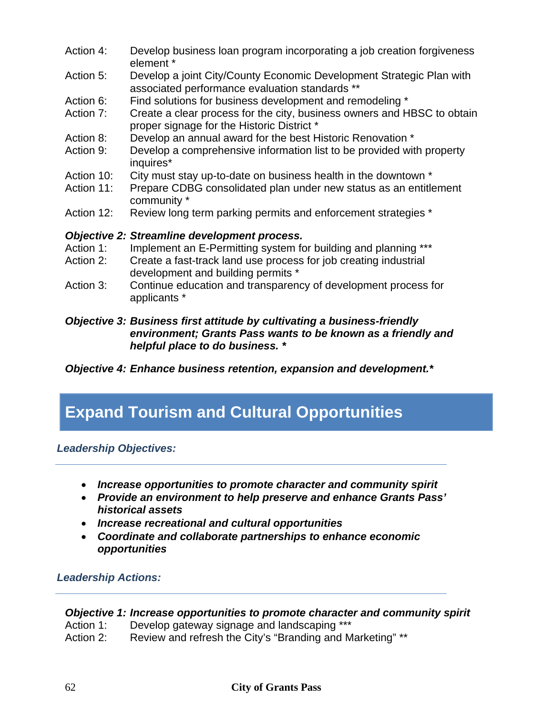- Action 4: Develop business loan program incorporating a job creation forgiveness element \*
- Action 5: Develop a joint City/County Economic Development Strategic Plan with associated performance evaluation standards \*\*
- Action 6: Find solutions for business development and remodeling \*
- Action 7: Create a clear process for the city, business owners and HBSC to obtain proper signage for the Historic District \*
- Action 8: Develop an annual award for the best Historic Renovation \*
- Action 9: Develop a comprehensive information list to be provided with property inquires\*
- Action 10: City must stay up-to-date on business health in the downtown \*
- Action 11: Prepare CDBG consolidated plan under new status as an entitlement community \*
- Action 12: Review long term parking permits and enforcement strategies \*

#### *Objective 2: Streamline development process.*

- Action 1: Implement an E-Permitting system for building and planning \*\*\*
- Action 2: Create a fast-track land use process for job creating industrial development and building permits \*
- Action 3: Continue education and transparency of development process for applicants \*

*Objective 3: Business first attitude by cultivating a business-friendly environment; Grants Pass wants to be known as a friendly and helpful place to do business. \** 

*Objective 4: Enhance business retention, expansion and development.\** 

## **Expand Tourism and Cultural Opportunities**

#### *Leadership Objectives:*

- *Increase opportunities to promote character and community spirit*
- *Provide an environment to help preserve and enhance Grants Pass' historical assets*
- *Increase recreational and cultural opportunities*
- *Coordinate and collaborate partnerships to enhance economic opportunities*

#### *Leadership Actions:*

#### *Objective 1: Increase opportunities to promote character and community spirit*

- Action 1: Develop gateway signage and landscaping \*\*\*
- Action 2: Review and refresh the City's "Branding and Marketing" \*\*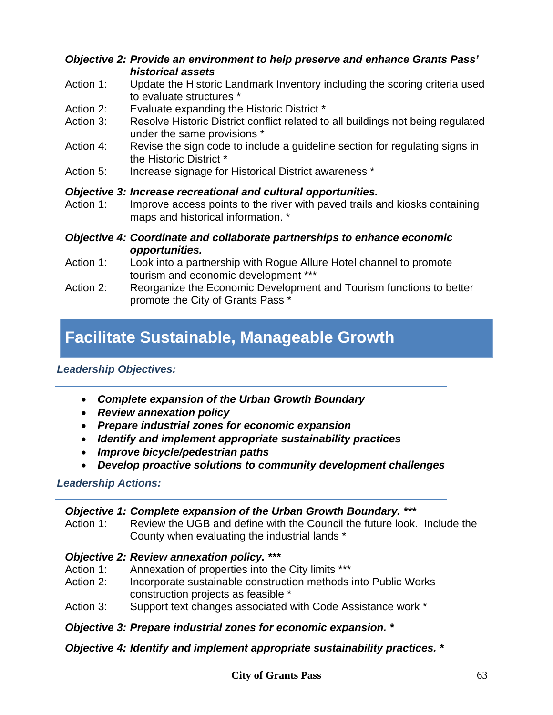#### *Objective 2: Provide an environment to help preserve and enhance Grants Pass' historical assets*

- Action 1: Update the Historic Landmark Inventory including the scoring criteria used to evaluate structures \*
- Action 2: Evaluate expanding the Historic District \*
- Action 3: Resolve Historic District conflict related to all buildings not being regulated under the same provisions \*
- Action 4: Revise the sign code to include a guideline section for regulating signs in the Historic District \*
- Action 5: Increase signage for Historical District awareness \*

#### *Objective 3: Increase recreational and cultural opportunities.*

Action 1: Improve access points to the river with paved trails and kiosks containing maps and historical information. \*

#### *Objective 4: Coordinate and collaborate partnerships to enhance economic opportunities.*

- Action 1: Look into a partnership with Rogue Allure Hotel channel to promote tourism and economic development \*\*\*
- Action 2: Reorganize the Economic Development and Tourism functions to better promote the City of Grants Pass \*

## **Facilitate Sustainable, Manageable Growth**

#### *Leadership Objectives:*

- *Complete expansion of the Urban Growth Boundary*
- *Review annexation policy*
- *Prepare industrial zones for economic expansion*
- *Identify and implement appropriate sustainability practices*
- *Improve bicycle/pedestrian paths*
- *Develop proactive solutions to community development challenges*

#### *Leadership Actions:*

#### *Objective 1: Complete expansion of the Urban Growth Boundary. \*\*\**

Action 1: Review the UGB and define with the Council the future look. Include the County when evaluating the industrial lands \*

#### *Objective 2: Review annexation policy. \*\*\**

- Action 1: Annexation of properties into the City limits \*\*\*
- Action 2: Incorporate sustainable construction methods into Public Works construction projects as feasible \*
- Action 3: Support text changes associated with Code Assistance work \*

#### *Objective 3: Prepare industrial zones for economic expansion. \**

*Objective 4: Identify and implement appropriate sustainability practices. \**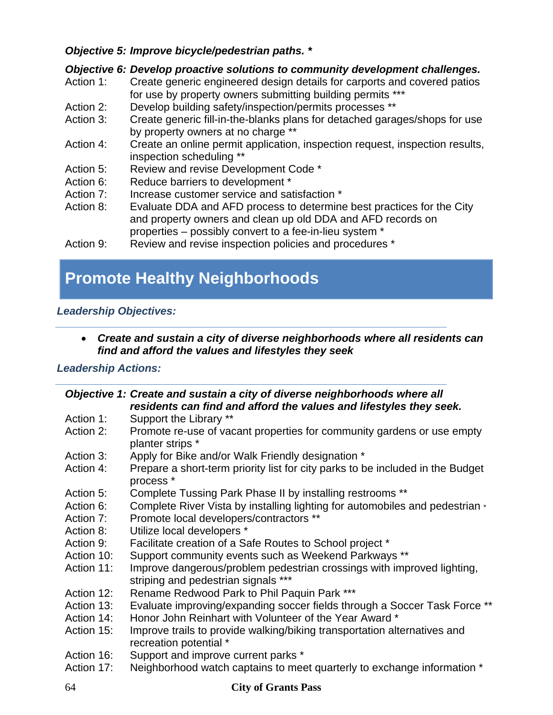#### *Objective 5: Improve bicycle/pedestrian paths. \**

*Objective 6: Develop proactive solutions to community development challenges.* 

- Action 1: Create generic engineered design details for carports and covered patios for use by property owners submitting building permits \*\*\*
- Action 2: Develop building safety/inspection/permits processes \*\*
- Action 3: Create generic fill-in-the-blanks plans for detached garages/shops for use by property owners at no charge \*\*
- Action 4: Create an online permit application, inspection request, inspection results, inspection scheduling \*\*
- Action 5: Review and revise Development Code \*
- Action 6: Reduce barriers to development \*
- Action 7: Increase customer service and satisfaction \*
- Action 8: Evaluate DDA and AFD process to determine best practices for the City and property owners and clean up old DDA and AFD records on properties – possibly convert to a fee-in-lieu system \*

Action 9: Review and revise inspection policies and procedures \*

## **Promote Healthy Neighborhoods**

#### *Leadership Objectives:*

 *Create and sustain a city of diverse neighborhoods where all residents can find and afford the values and lifestyles they seek* 

#### *Leadership Actions:*

64 **City of Grants Pass**  *Objective 1: Create and sustain a city of diverse neighborhoods where all residents can find and afford the values and lifestyles they seek.* Action 1: Support the Library \*\* Action 2: Promote re-use of vacant properties for community gardens or use empty planter strips \* Action 3: Apply for Bike and/or Walk Friendly designation \* Action 4: Prepare a short-term priority list for city parks to be included in the Budget process \* Action 5: Complete Tussing Park Phase II by installing restrooms \*\* Action 6: Complete River Vista by installing lighting for automobiles and pedestrian \* Action 7: Promote local developers/contractors \*\* Action 8: Utilize local developers \* Action 9: Facilitate creation of a Safe Routes to School project \* Action 10: Support community events such as Weekend Parkways \*\* Action 11: Improve dangerous/problem pedestrian crossings with improved lighting, striping and pedestrian signals \*\*\* Action 12: Rename Redwood Park to Phil Paquin Park \*\*\* Action 13: Evaluate improving/expanding soccer fields through a Soccer Task Force \*\* Action 14: Honor John Reinhart with Volunteer of the Year Award \* Action 15: Improve trails to provide walking/biking transportation alternatives and recreation potential \* Action 16: Support and improve current parks \* Action 17: Neighborhood watch captains to meet quarterly to exchange information \*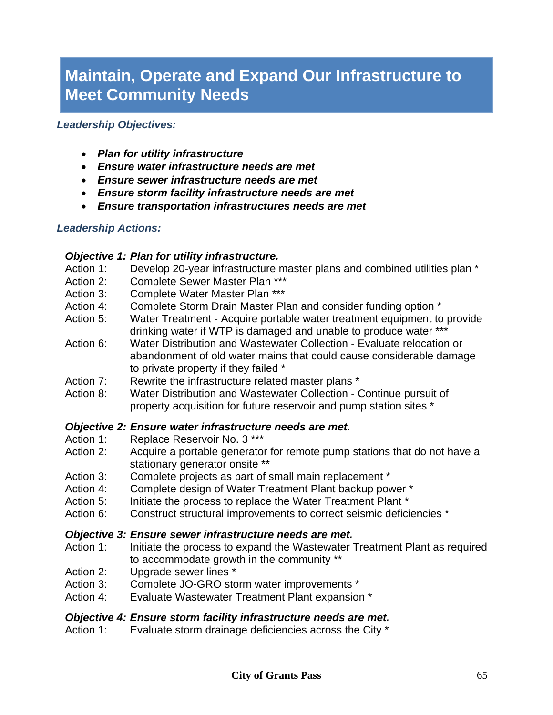## **Maintain, Operate and Expand Our Infrastructure to Meet Community Needs**

#### *Leadership Objectives:*

- *Plan for utility infrastructure*
- *Ensure water infrastructure needs are met*
- *Ensure sewer infrastructure needs are met*
- *Ensure storm facility infrastructure needs are met*
- *Ensure transportation infrastructures needs are met*

#### *Leadership Actions:*

#### *Objective 1: Plan for utility infrastructure.*

- Action 1: Develop 20-year infrastructure master plans and combined utilities plan \*
- Action 2: Complete Sewer Master Plan \*\*\*
- Action 3: Complete Water Master Plan \*\*\*
- Action 4: Complete Storm Drain Master Plan and consider funding option \*
- Action 5: Water Treatment Acquire portable water treatment equipment to provide drinking water if WTP is damaged and unable to produce water \*\*\*
- Action 6: Water Distribution and Wastewater Collection Evaluate relocation or abandonment of old water mains that could cause considerable damage to private property if they failed \*
- Action 7: Rewrite the infrastructure related master plans \*
- Action 8: Water Distribution and Wastewater Collection Continue pursuit of property acquisition for future reservoir and pump station sites \*

#### *Objective 2: Ensure water infrastructure needs are met.*

- Action 1: Replace Reservoir No. 3 \*\*\*
- Action 2: Acquire a portable generator for remote pump stations that do not have a stationary generator onsite \*\*
- Action 3: Complete projects as part of small main replacement \*
- Action 4: Complete design of Water Treatment Plant backup power \*
- Action 5: Initiate the process to replace the Water Treatment Plant \*
- Action 6: Construct structural improvements to correct seismic deficiencies \*

#### *Objective 3: Ensure sewer infrastructure needs are met.*

- Action 1: Initiate the process to expand the Wastewater Treatment Plant as required to accommodate growth in the community \*\*
- Action 2: Upgrade sewer lines \*
- Action 3: Complete JO-GRO storm water improvements \*
- Action 4: Evaluate Wastewater Treatment Plant expansion \*

#### *Objective 4: Ensure storm facility infrastructure needs are met.*

Action 1: Evaluate storm drainage deficiencies across the City \*